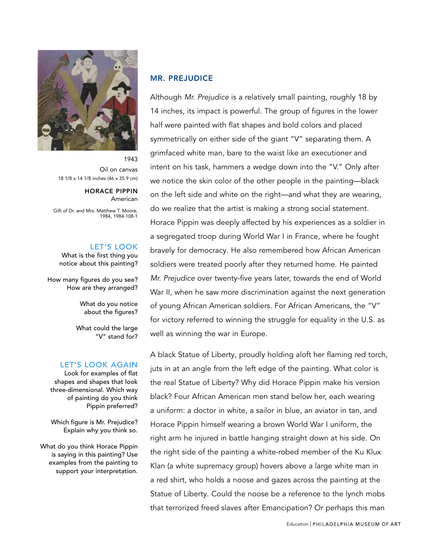

Oil on canvas 18 1/8 x 14 1/8 inches (46 x 35.9 cm)

> HORACE PIPPIN American

Gift of Dr. and Mrs. Matthew T. Moore, 1984, 1984-108-1

## LET'S LOOK

What is the first thing you notice about this painting?

How many figures do you see? How are they arranged?

> What do you notice about the figures?

What could the large "V" stand for?

#### LET'S LOOK AGAIN

Look for examples of flat shapes and shapes that look three-dimensional. Which way of painting do you think Pippin preferred?

Which figure is Mr. Prejudice? Explain why you think so.

What do you think Horace Pippin is saying in this painting? Use examples from the painting to support your interpretation.

### MR. PREJUDICE

Although Mr. Prejudice is a relatively small painting, roughly 18 by 14 inches, its impact is powerful. The group of figures in the lower half were painted with flat shapes and bold colors and placed symmetrically on either side of the giant "V" separating them. A grimfaced white man, bare to the waist like an executioner and intent on his task, hammers a wedge down into the "V." Only after we notice the skin color of the other people in the painting—black on the left side and white on the right—and what they are wearing, do we realize that the artist is making a strong social statement. Horace Pippin was deeply affected by his experiences as a soldier in a segregated troop during World War I in France, where he fought bravely for democracy. He also remembered how African American soldiers were treated poorly after they returned home. He painted Mr. Prejudice over twenty-five years later, towards the end of World War II, when he saw more discrimination against the next generation of young African American soldiers. For African Americans, the "V" for victory referred to winning the struggle for equality in the U.S. as well as winning the war in Europe.

A black Statue of Liberty, proudly holding aloft her flaming red torch, juts in at an angle from the left edge of the painting. What color is the real Statue of Liberty? Why did Horace Pippin make his version black? Four African American men stand below her, each wearing a uniform: a doctor in white, a sailor in blue, an aviator in tan, and Horace Pippin himself wearing a brown World War I uniform, the right arm he injured in battle hanging straight down at his side. On the right side of the painting a white-robed member of the Ku Klux Klan (a white supremacy group) hovers above a large white man in a red shirt, who holds a noose and gazes across the painting at the Statue of Liberty. Could the noose be a reference to the lynch mobs that terrorized freed slaves after Emancipation? Or perhaps this man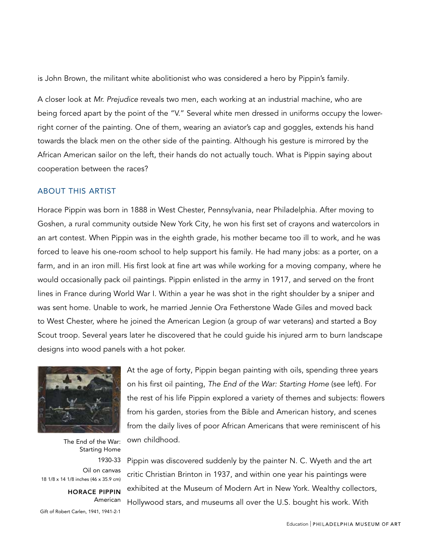is John Brown, the militant white abolitionist who was considered a hero by Pippin's family.

A closer look at Mr. Prejudice reveals two men, each working at an industrial machine, who are being forced apart by the point of the "V." Several white men dressed in uniforms occupy the lowerright corner of the painting. One of them, wearing an aviator's cap and goggles, extends his hand towards the black men on the other side of the painting. Although his gesture is mirrored by the African American sailor on the left, their hands do not actually touch. What is Pippin saying about cooperation between the races?

### ABOUT THIS ARTIST

Horace Pippin was born in 1888 in West Chester, Pennsylvania, near Philadelphia. After moving to Goshen, a rural community outside New York City, he won his first set of crayons and watercolors in an art contest. When Pippin was in the eighth grade, his mother became too ill to work, and he was forced to leave his one-room school to help support his family. He had many jobs: as a porter, on a farm, and in an iron mill. His first look at fine art was while working for a moving company, where he would occasionally pack oil paintings. Pippin enlisted in the army in 1917, and served on the front lines in France during World War I. Within a year he was shot in the right shoulder by a sniper and was sent home. Unable to work, he married Jennie Ora Fetherstone Wade Giles and moved back to West Chester, where he joined the American Legion (a group of war veterans) and started a Boy Scout troop. Several years later he discovered that he could guide his injured arm to burn landscape designs into wood panels with a hot poker.



The End of the War: Starting Home 1930-33 Oil on canvas 18 1/8 x 14 1/8 inches (46 x 35.9 cm)

HORACE PIPPIN American Gift of Robert Carlen, 1941, 1941-2-1

At the age of forty, Pippin began painting with oils, spending three years on his first oil painting, The End of the War: Starting Home (see left). For the rest of his life Pippin explored a variety of themes and subjects: flowers from his garden, stories from the Bible and American history, and scenes from the daily lives of poor African Americans that were reminiscent of his own childhood.

Pippin was discovered suddenly by the painter N. C. Wyeth and the art critic Christian Brinton in 1937, and within one year his paintings were exhibited at the Museum of Modern Art in New York. Wealthy collectors, Hollywood stars, and museums all over the U.S. bought his work. With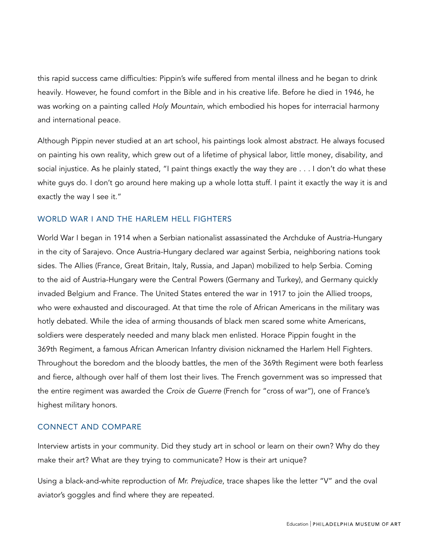this rapid success came difficulties: Pippin's wife suffered from mental illness and he began to drink heavily. However, he found comfort in the Bible and in his creative life. Before he died in 1946, he was working on a painting called Holy Mountain, which embodied his hopes for interracial harmony and international peace.

Although Pippin never studied at an art school, his paintings look almost abstract. He always focused on painting his own reality, which grew out of a lifetime of physical labor, little money, disability, and social injustice. As he plainly stated, "I paint things exactly the way they are . . . I don't do what these white guys do. I don't go around here making up a whole lotta stuff. I paint it exactly the way it is and exactly the way I see it."

# WORLD WAR I AND THE HARLEM HELL FIGHTERS

World War I began in 1914 when a Serbian nationalist assassinated the Archduke of Austria-Hungary in the city of Sarajevo. Once Austria-Hungary declared war against Serbia, neighboring nations took sides. The Allies (France, Great Britain, Italy, Russia, and Japan) mobilized to help Serbia. Coming to the aid of Austria-Hungary were the Central Powers (Germany and Turkey), and Germany quickly invaded Belgium and France. The United States entered the war in 1917 to join the Allied troops, who were exhausted and discouraged. At that time the role of African Americans in the military was hotly debated. While the idea of arming thousands of black men scared some white Americans, soldiers were desperately needed and many black men enlisted. Horace Pippin fought in the 369th Regiment, a famous African American Infantry division nicknamed the Harlem Hell Fighters. Throughout the boredom and the bloody battles, the men of the 369th Regiment were both fearless and fierce, although over half of them lost their lives. The French government was so impressed that the entire regiment was awarded the Croix de Guerre (French for "cross of war"), one of France's highest military honors.

### CONNECT AND COMPARE

Interview artists in your community. Did they study art in school or learn on their own? Why do they make their art? What are they trying to communicate? How is their art unique?

Using a black-and-white reproduction of Mr. Prejudice, trace shapes like the letter "V" and the oval aviator's goggles and find where they are repeated.